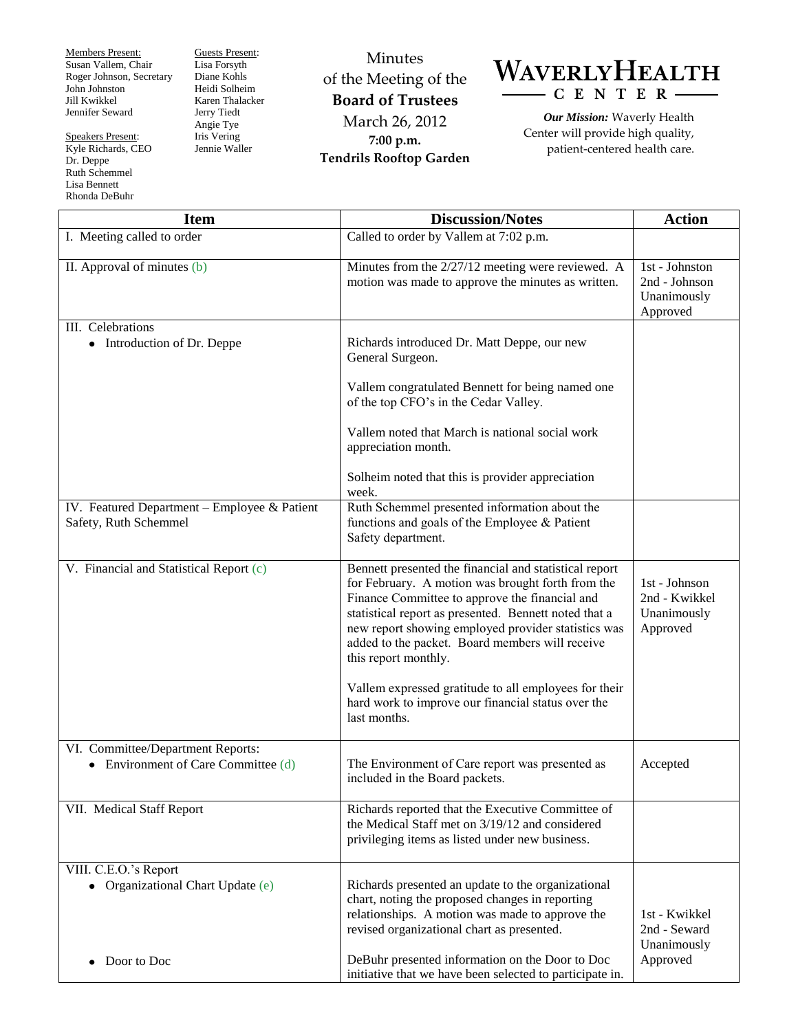Members Present: Susan Vallem, Chair Roger Johnson, Secretary John Johnston Jill Kwikkel Jennifer Seward

Rhonda DeBuhr

Speakers Present: Kyle Richards, CEO Dr. Deppe Ruth Schemmel Lisa Bennett

Guests Present: Lisa Forsyth Diane Kohls Heidi Solheim Karen Thalacker Jerry Tiedt Angie Tye Iris Vering Jennie Waller

Minutes of the Meeting of the **Board of Trustees** March 26, 2012 **7:00 p.m. Tendrils Rooftop Garden**



*Our Mission:* Waverly Health Center will provide high quality, patient-centered health care.

| <b>Item</b>                                                                 | <b>Discussion/Notes</b>                                                                                                                                                                                                                                                                                                                                  | <b>Action</b>                                              |
|-----------------------------------------------------------------------------|----------------------------------------------------------------------------------------------------------------------------------------------------------------------------------------------------------------------------------------------------------------------------------------------------------------------------------------------------------|------------------------------------------------------------|
| I. Meeting called to order                                                  | Called to order by Vallem at 7:02 p.m.                                                                                                                                                                                                                                                                                                                   |                                                            |
| II. Approval of minutes (b)                                                 | Minutes from the 2/27/12 meeting were reviewed. A<br>motion was made to approve the minutes as written.                                                                                                                                                                                                                                                  | 1st - Johnston<br>2nd - Johnson<br>Unanimously<br>Approved |
| III. Celebrations<br>• Introduction of Dr. Deppe                            | Richards introduced Dr. Matt Deppe, our new<br>General Surgeon.                                                                                                                                                                                                                                                                                          |                                                            |
|                                                                             | Vallem congratulated Bennett for being named one<br>of the top CFO's in the Cedar Valley.                                                                                                                                                                                                                                                                |                                                            |
|                                                                             | Vallem noted that March is national social work<br>appreciation month.                                                                                                                                                                                                                                                                                   |                                                            |
|                                                                             | Solheim noted that this is provider appreciation<br>week.                                                                                                                                                                                                                                                                                                |                                                            |
| IV. Featured Department - Employee & Patient<br>Safety, Ruth Schemmel       | Ruth Schemmel presented information about the<br>functions and goals of the Employee & Patient<br>Safety department.                                                                                                                                                                                                                                     |                                                            |
| V. Financial and Statistical Report (c)                                     | Bennett presented the financial and statistical report<br>for February. A motion was brought forth from the<br>Finance Committee to approve the financial and<br>statistical report as presented. Bennett noted that a<br>new report showing employed provider statistics was<br>added to the packet. Board members will receive<br>this report monthly. | 1st - Johnson<br>2nd - Kwikkel<br>Unanimously<br>Approved  |
|                                                                             | Vallem expressed gratitude to all employees for their<br>hard work to improve our financial status over the<br>last months.                                                                                                                                                                                                                              |                                                            |
| VI. Committee/Department Reports:<br>Environment of Care Committee (d)<br>٠ | The Environment of Care report was presented as<br>included in the Board packets.                                                                                                                                                                                                                                                                        | Accepted                                                   |
| VII. Medical Staff Report                                                   | Richards reported that the Executive Committee of<br>the Medical Staff met on 3/19/12 and considered<br>privileging items as listed under new business.                                                                                                                                                                                                  |                                                            |
| VIII. C.E.O.'s Report<br>• Organizational Chart Update (e)                  | Richards presented an update to the organizational<br>chart, noting the proposed changes in reporting<br>relationships. A motion was made to approve the<br>revised organizational chart as presented.                                                                                                                                                   | 1st - Kwikkel<br>2nd - Seward<br>Unanimously               |
| Door to Doc                                                                 | DeBuhr presented information on the Door to Doc<br>initiative that we have been selected to participate in.                                                                                                                                                                                                                                              | Approved                                                   |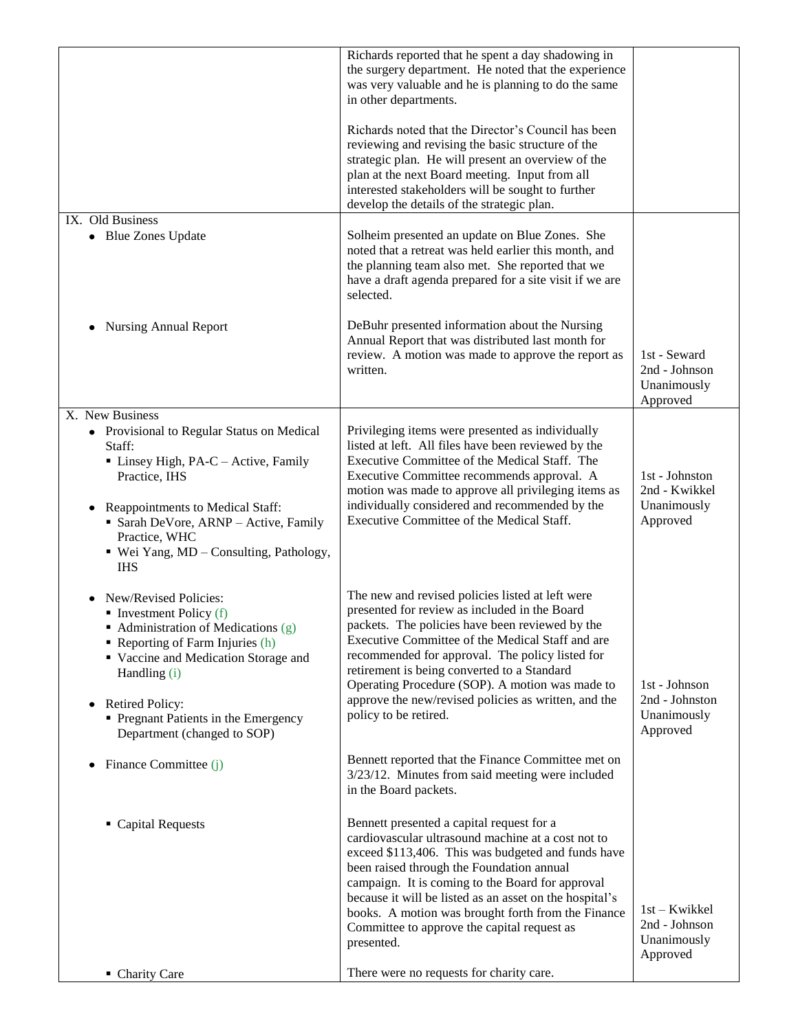|                                                                                                                                                                                                                                                                                                                             | Richards reported that he spent a day shadowing in<br>the surgery department. He noted that the experience<br>was very valuable and he is planning to do the same<br>in other departments.<br>Richards noted that the Director's Council has been<br>reviewing and revising the basic structure of the<br>strategic plan. He will present an overview of the<br>plan at the next Board meeting. Input from all<br>interested stakeholders will be sought to further<br>develop the details of the strategic plan. |                                                            |
|-----------------------------------------------------------------------------------------------------------------------------------------------------------------------------------------------------------------------------------------------------------------------------------------------------------------------------|-------------------------------------------------------------------------------------------------------------------------------------------------------------------------------------------------------------------------------------------------------------------------------------------------------------------------------------------------------------------------------------------------------------------------------------------------------------------------------------------------------------------|------------------------------------------------------------|
| IX. Old Business<br>• Blue Zones Update                                                                                                                                                                                                                                                                                     | Solheim presented an update on Blue Zones. She<br>noted that a retreat was held earlier this month, and<br>the planning team also met. She reported that we<br>have a draft agenda prepared for a site visit if we are<br>selected.                                                                                                                                                                                                                                                                               |                                                            |
| <b>Nursing Annual Report</b>                                                                                                                                                                                                                                                                                                | DeBuhr presented information about the Nursing<br>Annual Report that was distributed last month for<br>review. A motion was made to approve the report as<br>written.                                                                                                                                                                                                                                                                                                                                             | 1st - Seward<br>2nd - Johnson<br>Unanimously<br>Approved   |
| X. New Business<br>• Provisional to Regular Status on Medical<br>Staff:<br>Linsey High, PA-C - Active, Family<br>Practice, IHS<br>Reappointments to Medical Staff:<br>Sarah DeVore, ARNP - Active, Family<br>Practice, WHC<br>■ Wei Yang, MD – Consulting, Pathology,<br><b>IHS</b>                                         | Privileging items were presented as individually<br>listed at left. All files have been reviewed by the<br>Executive Committee of the Medical Staff. The<br>Executive Committee recommends approval. A<br>motion was made to approve all privileging items as<br>individually considered and recommended by the<br>Executive Committee of the Medical Staff.                                                                                                                                                      | 1st - Johnston<br>2nd - Kwikkel<br>Unanimously<br>Approved |
| New/Revised Policies:<br>Investment Policy $(f)$<br>• Administration of Medications (g)<br>Reporting of Farm Injuries (h)<br>• Vaccine and Medication Storage and<br>Handling (i)<br><b>Retired Policy:</b><br>٠<br>Pregnant Patients in the Emergency<br>Department (changed to SOP)<br>Finance Committee (j)<br>$\bullet$ | The new and revised policies listed at left were<br>presented for review as included in the Board<br>packets. The policies have been reviewed by the<br>Executive Committee of the Medical Staff and are<br>recommended for approval. The policy listed for<br>retirement is being converted to a Standard<br>Operating Procedure (SOP). A motion was made to<br>approve the new/revised policies as written, and the<br>policy to be retired.<br>Bennett reported that the Finance Committee met on              | 1st - Johnson<br>2nd - Johnston<br>Unanimously<br>Approved |
| • Capital Requests                                                                                                                                                                                                                                                                                                          | 3/23/12. Minutes from said meeting were included<br>in the Board packets.<br>Bennett presented a capital request for a<br>cardiovascular ultrasound machine at a cost not to<br>exceed \$113,406. This was budgeted and funds have                                                                                                                                                                                                                                                                                |                                                            |
| • Charity Care                                                                                                                                                                                                                                                                                                              | been raised through the Foundation annual<br>campaign. It is coming to the Board for approval<br>because it will be listed as an asset on the hospital's<br>books. A motion was brought forth from the Finance<br>Committee to approve the capital request as<br>presented.<br>There were no requests for charity care.                                                                                                                                                                                           | 1st – Kwikkel<br>2nd - Johnson<br>Unanimously<br>Approved  |